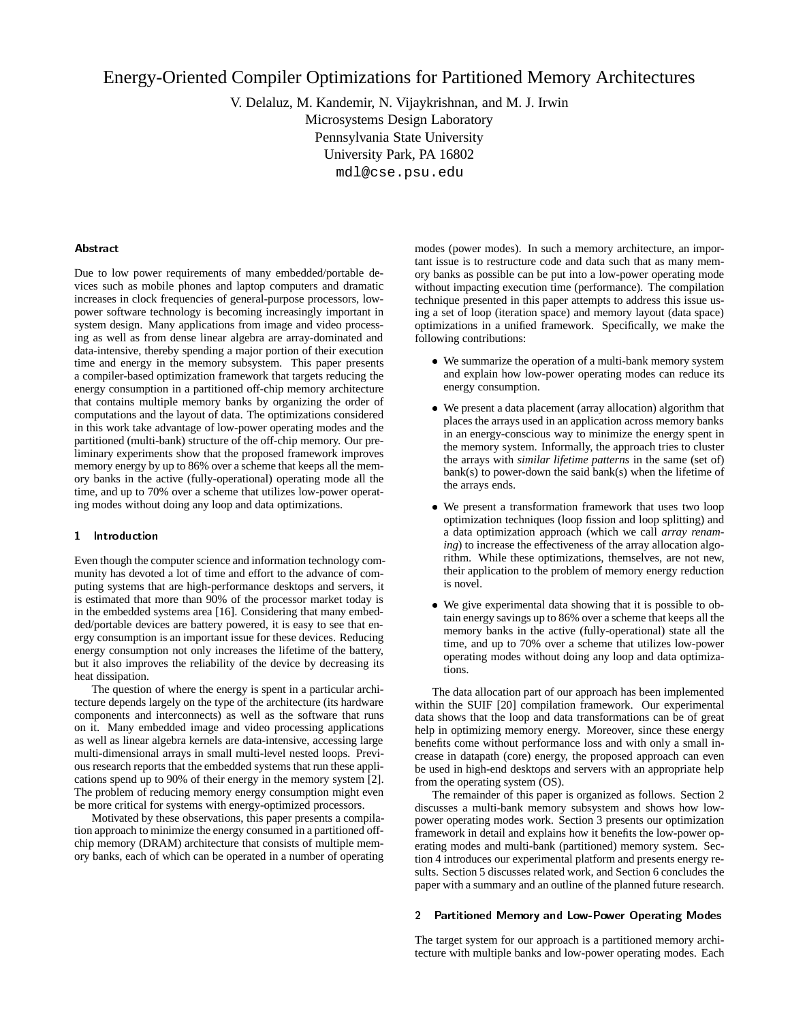# Energy-Oriented Compiler Optimizations for Partitioned Memory Architectures

V. Delaluz, M. Kandemir, N. Vijaykrishnan, and M. J. Irwin Microsystems Design Laboratory Pennsylvania State University University Park, PA 16802 mdl@cse.psu.edu

## Abstract

Due to low power requirements of many embedded/portable devices such as mobile phones and laptop computers and dramatic increases in clock frequencies of general-purpose processors, lowpower software technology is becoming increasingly important in system design. Many applications from image and video processing as well as from dense linear algebra are array-dominated and data-intensive, thereby spending a major portion of their execution time and energy in the memory subsystem. This paper presents a compiler-based optimization framework that targets reducing the energy consumption in a partitioned off-chip memory architecture that contains multiple memory banks by organizing the order of computations and the layout of data. The optimizations considered in this work take advantage of low-power operating modes and the partitioned (multi-bank) structure of the off-chip memory. Our preliminary experiments show that the proposed framework improves memory energy by up to 86% over a scheme that keeps all the memory banks in the active (fully-operational) operating mode all the time, and up to 70% over a scheme that utilizes low-power operating modes without doing any loop and data optimizations.

#### 1 Introduction

Even though the computer science and information technology community has devoted a lot of time and effort to the advance of computing systems that are high-performance desktops and servers, it is estimated that more than 90% of the processor market today is in the embedded systems area [16]. Considering that many embedded/portable devices are battery powered, it is easy to see that energy consumption is an important issue for these devices. Reducing energy consumption not only increases the lifetime of the battery, but it also improves the reliability of the device by decreasing its heat dissipation.

The question of where the energy is spent in a particular architecture depends largely on the type of the architecture (its hardware components and interconnects) as well as the software that runs on it. Many embedded image and video processing applications as well as linear algebra kernels are data-intensive, accessing large multi-dimensional arrays in small multi-level nested loops. Previous research reports that the embedded systems that run these applications spend up to 90% of their energy in the memory system [2]. The problem of reducing memory energy consumption might even be more critical for systems with energy-optimized processors.

Motivated by these observations, this paper presents a compilation approach to minimize the energy consumed in a partitioned offchip memory (DRAM) architecture that consists of multiple memory banks, each of which can be operated in a number of operating modes (power modes). In such a memory architecture, an important issue is to restructure code and data such that as many memory banks as possible can be put into a low-power operating mode without impacting execution time (performance). The compilation technique presented in this paper attempts to address this issue using a set of loop (iteration space) and memory layout (data space) optimizations in a unified framework. Specifically, we make the following contributions:

- We summarize the operation of a multi-bank memory system and explain how low-power operating modes can reduce its energy consumption.
- We present a data placement (array allocation) algorithm that places the arrays used in an application across memory banks in an energy-conscious way to minimize the energy spent in the memory system. Informally, the approach tries to cluster the arrays with *similar lifetime patterns* in the same (set of) bank(s) to power-down the said bank(s) when the lifetime of the arrays ends.
- We present a transformation framework that uses two loop optimization techniques (loop fission and loop splitting) and a data optimization approach (which we call *array renaming*) to increase the effectiveness of the array allocation algorithm. While these optimizations, themselves, are not new, their application to the problem of memory energy reduction is novel.
- We give experimental data showing that it is possible to obtain energy savings up to 86% over a scheme that keeps all the memory banks in the active (fully-operational) state all the time, and up to 70% over a scheme that utilizes low-power operating modes without doing any loop and data optimizations.

The data allocation part of our approach has been implemented within the SUIF [20] compilation framework. Our experimental data shows that the loop and data transformations can be of great help in optimizing memory energy. Moreover, since these energy benefits come without performance loss and with only a small increase in datapath (core) energy, the proposed approach can even be used in high-end desktops and servers with an appropriate help from the operating system (OS).

The remainder of this paper is organized as follows. Section 2 discusses a multi-bank memory subsystem and shows how lowpower operating modes work. Section 3 presents our optimization framework in detail and explains how it benefits the low-power operating modes and multi-bank (partitioned) memory system. Section 4 introduces our experimental platform and presents energy results. Section 5 discusses related work, and Section 6 concludes the paper with a summary and an outline of the planned future research.

#### 2 Partitioned Memory and Low-Power Operating Modes

The target system for our approach is a partitioned memory architecture with multiple banks and low-power operating modes. Each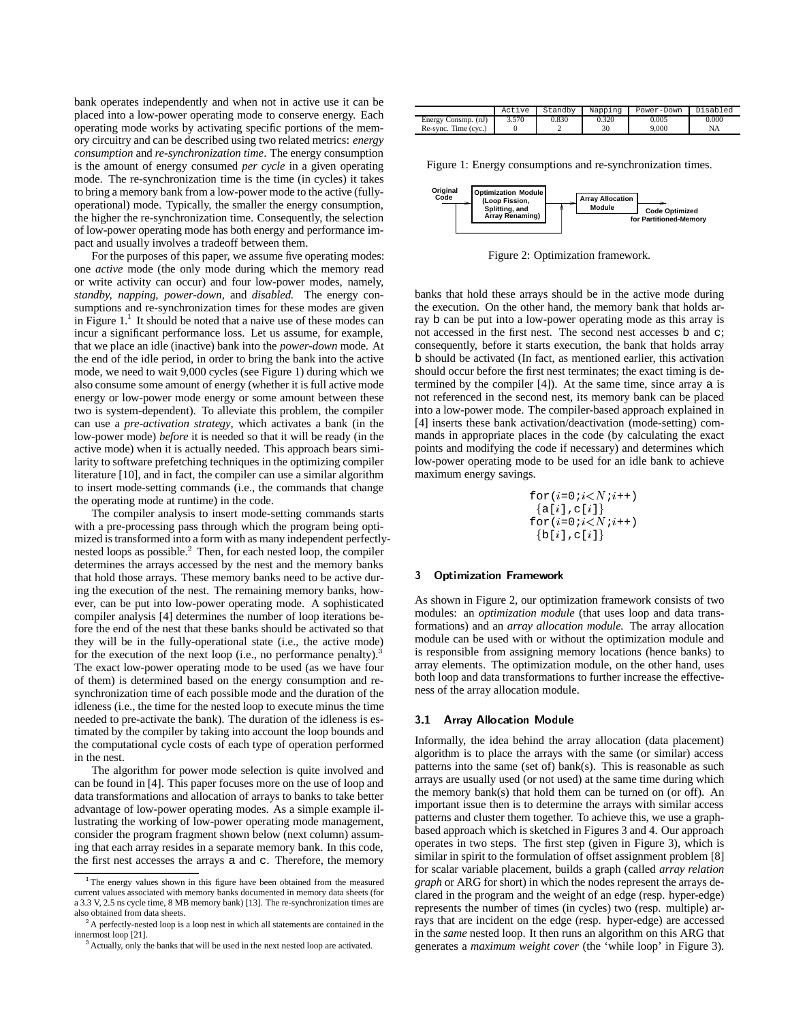bank operates independently and when not in active use it can be placed into a low-power operating mode to conserve energy. Each operating mode works by activating specific portions of the memory circuitry and can be described using two related metrics: *energy consumption* and *re-synchronization time*. The energy consumption is the amount of energy consumed *per cycle* in a given operating mode. The re-synchronization time is the time (in cycles) it takes to bring a memory bank from a low-power mode to the active (fullyoperational) mode. Typically, the smaller the energy consumption, the higher the re-synchronization time. Consequently, the selection of low-power operating mode has both energy and performance impact and usually involves a tradeoff between them.

For the purposes of this paper, we assume five operating modes: one *active* mode (the only mode during which the memory read or write activity can occur) and four low-power modes, namely, *standby, napping, power-down,* and *disabled.* The energy consumptions and re-synchronization times for these modes are given in Figure  $1<sup>1</sup>$  It should be noted that a naive use of these modes can incur a significant performance loss. Let us assume, for example, that we place an idle (inactive) bank into the *power-down* mode. At the end of the idle period, in order to bring the bank into the active mode, we need to wait 9,000 cycles (see Figure 1) during which we also consume some amount of energy (whether it is full active mode energy or low-power mode energy or some amount between these two is system-dependent). To alleviate this problem, the compiler can use a *pre-activation strategy*, which activates a bank (in the low-power mode) *before* it is needed so that it will be ready (in the active mode) when it is actually needed. This approach bears similarity to software prefetching techniques in the optimizing compiler literature [10], and in fact, the compiler can use a similar algorithm to insert mode-setting commands (i.e., the commands that change the operating mode at runtime) in the code.

The compiler analysis to insert mode-setting commands starts with a pre-processing pass through which the program being optimized is transformed into a form with as many independent perfectlynested loops as possible. $<sup>2</sup>$  Then, for each nested loop, the compiler</sup> determines the arrays accessed by the nest and the memory banks that hold those arrays. These memory banks need to be active during the execution of the nest. The remaining memory banks, however, can be put into low-power operating mode. A sophisticated compiler analysis [4] determines the number of loop iterations before the end of the nest that these banks should be activated so that they will be in the fully-operational state (i.e., the active mode) for the execution of the next loop (i.e., no performance penalty). $\ddot{\cdot}$ The exact low-power operating mode to be used (as we have four of them) is determined based on the energy consumption and resynchronization time of each possible mode and the duration of the idleness (i.e., the time for the nested loop to execute minus the time needed to pre-activate the bank). The duration of the idleness is estimated by the compiler by taking into account the loop bounds and the computational cycle costs of each type of operation performed in the nest.

The algorithm for power mode selection is quite involved and can be found in [4]. This paper focuses more on the use of loop and data transformations and allocation of arrays to banks to take better advantage of low-power operating modes. As a simple example illustrating the working of low-power operating mode management, consider the program fragment shown below (next column) assuming that each array resides in a separate memory bank. In this code, the first nest accesses the arrays a and c. Therefore, the memory

|                      | Active | Standby | Napping | Power-Down | Disabled |
|----------------------|--------|---------|---------|------------|----------|
| Energy Consmp. (nJ)  | 3.570  | 0.830   | 0.320   | 0.005      | 0.000    |
| Re-sync. Time (cvc.) |        |         | 30      | 9.000      | NA       |

Figure 1: Energy consumptions and re-synchronization times.



Figure 2: Optimization framework.

banks that hold these arrays should be in the active mode during the execution. On the other hand, the memory bank that holds array b can be put into a low-power operating mode as this array is not accessed in the first nest. The second nest accesses b and c; consequently, before it starts execution, the bank that holds array b should be activated (In fact, as mentioned earlier, this activation should occur before the first nest terminates; the exact timing is determined by the compiler [4]). At the same time, since array a is not referenced in the second nest, its memory bank can be placed into a low-power mode. The compiler-based approach explained in [4] inserts these bank activation/deactivation (mode-setting) commands in appropriate places in the code (by calculating the exact points and modifying the code if necessary) and determines which low-power operating mode to be used for an idle bank to achieve maximum energy savings.

$$
\begin{matrix} \text{for}(i=0:i
$$

#### 3 **Optimization Framework**

As shown in Figure 2, our optimization framework consists of two modules: an *optimization module* (that uses loop and data transformations) and an *array allocation module.* The array allocation module can be used with or without the optimization module and is responsible from assigning memory locations (hence banks) to array elements. The optimization module, on the other hand, uses both loop and data transformations to further increase the effectiveness of the array allocation module.

#### 3.1 Array Allocation Module

Informally, the idea behind the array allocation (data placement) algorithm is to place the arrays with the same (or similar) access patterns into the same (set of) bank(s). This is reasonable as such arrays are usually used (or not used) at the same time during which the memory bank(s) that hold them can be turned on (or off). An important issue then is to determine the arrays with similar access patterns and cluster them together. To achieve this, we use a graphbased approach which is sketched in Figures 3 and 4. Our approach operates in two steps. The first step (given in Figure 3), which is similar in spirit to the formulation of offset assignment problem [8] for scalar variable placement, builds a graph (called *array relation graph* or ARG for short) in which the nodes represent the arrays declared in the program and the weight of an edge (resp. hyper-edge) represents the number of times (in cycles) two (resp. multiple) arrays that are incident on the edge (resp. hyper-edge) are accessed in the *same* nested loop. It then runs an algorithm on this ARG that generates a *maximum weight cover* (the 'while loop' in Figure 3).

<sup>1</sup> The energy values shown in this figure have been obtained from the measured current values associated with memory banks documented in memory data sheets (for a 3.3 V, 2.5 ns cycle time, 8 MB memory bank) [13]. The re-synchronization times are also obtained from data sheets.

<sup>&</sup>lt;sup>2</sup>A perfectly-nested loop is a loop nest in which all statements are contained in the innermost loop [21].

<sup>&</sup>lt;sup>3</sup> Actually, only the banks that will be used in the next nested loop are activated.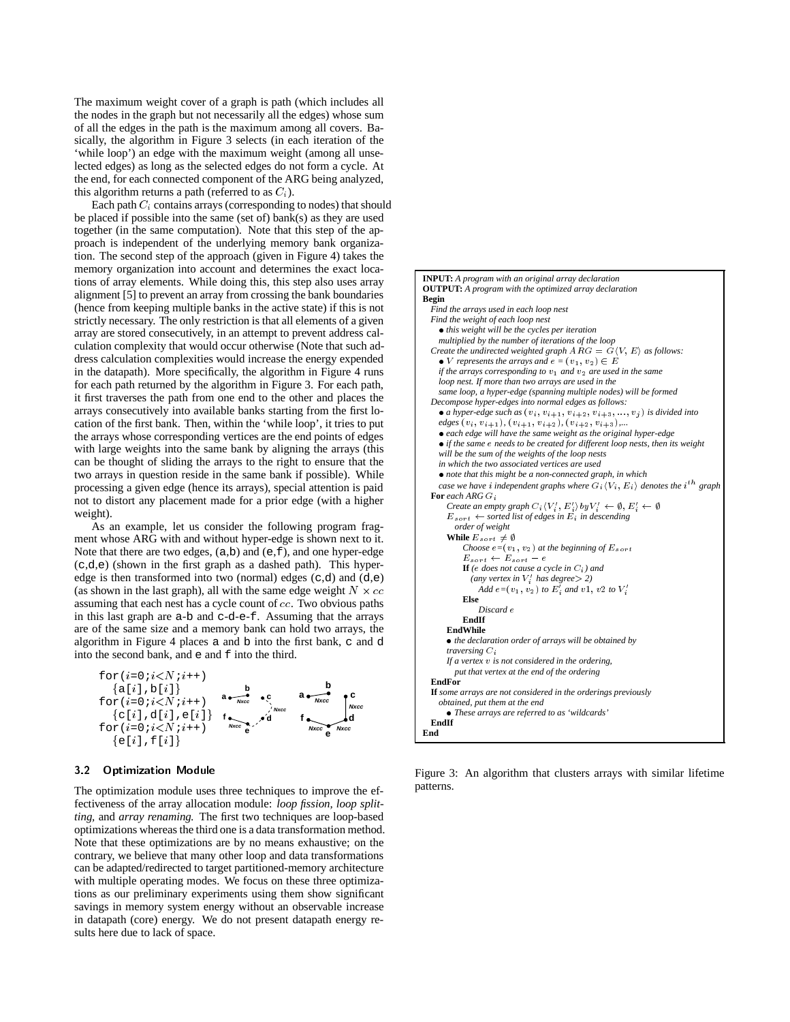The maximum weight cover of a graph is path (which includes all the nodes in the graph but not necessarily all the edges) whose sum of all the edges in the path is the maximum among all covers. Basically, the algorithm in Figure 3 selects (in each iteration of the 'while loop') an edge with the maximum weight (among all unselected edges) as long as the selected edges do not form a cycle. At the end, for each connected component of the ARG being analyzed, this algorithm returns a path (referred to as  $C_i$ ).

Each path  $C_i$  contains arrays (corresponding to nodes) that should be placed if possible into the same (set of) bank(s) as they are used together (in the same computation). Note that this step of the approach is independent of the underlying memory bank organization. The second step of the approach (given in Figure 4) takes the memory organization into account and determines the exact locations of array elements. While doing this, this step also uses array alignment [5] to prevent an array from crossing the bank boundaries (hence from keeping multiple banks in the active state) if this is not strictly necessary. The only restriction is that all elements of a given array are stored consecutively, in an attempt to prevent address calculation complexity that would occur otherwise (Note that such address calculation complexities would increase the energy expended in the datapath). More specifically, the algorithm in Figure 4 runs for each path returned by the algorithm in Figure 3. For each path, it first traverses the path from one end to the other and places the arrays consecutively into available banks starting from the first location of the first bank. Then, within the 'while loop', it tries to put the arrays whose corresponding vertices are the end points of edges with large weights into the same bank by aligning the arrays (this can be thought of sliding the arrays to the right to ensure that the two arrays in question reside in the same bank if possible). While processing a given edge (hence its arrays), special attention is paid not to distort any placement made for a prior edge (with a higher weight).

As an example, let us consider the following program fragment whose ARG with and without hyper-edge is shown next to it. Note that there are two edges,  $(a,b)$  and  $(e,f)$ , and one hyper-edge (c,d,e) (shown in the first graph as a dashed path). This hyperedge is then transformed into two (normal) edges  $(c,d)$  and  $(d,e)$ (as shown in the last graph), all with the same edge weight  $N \times cc$ assuming that each nest has a cycle count of cc. Two obvious paths in this last graph are a-b and c-d-e-f. Assuming that the arrays are of the same size and a memory bank can hold two arrays, the algorithm in Figure 4 places a and b into the first bank, c and d into the second bank, and e and f into the third.



#### 3.2 Optimization Module

The optimization module uses three techniques to improve the effectiveness of the array allocation module: *loop fission, loop splitting,* and *array renaming.* The first two techniques are loop-based optimizations whereas the third one is a data transformation method. Note that these optimizations are by no means exhaustive; on the contrary, we believe that many other loop and data transformations can be adapted/redirected to target partitioned-memory architecture with multiple operating modes. We focus on these three optimizations as our preliminary experiments using them show significant savings in memory system energy without an observable increase in datapath (core) energy. We do not present datapath energy results here due to lack of space.



Figure 3: An algorithm that clusters arrays with similar lifetime patterns.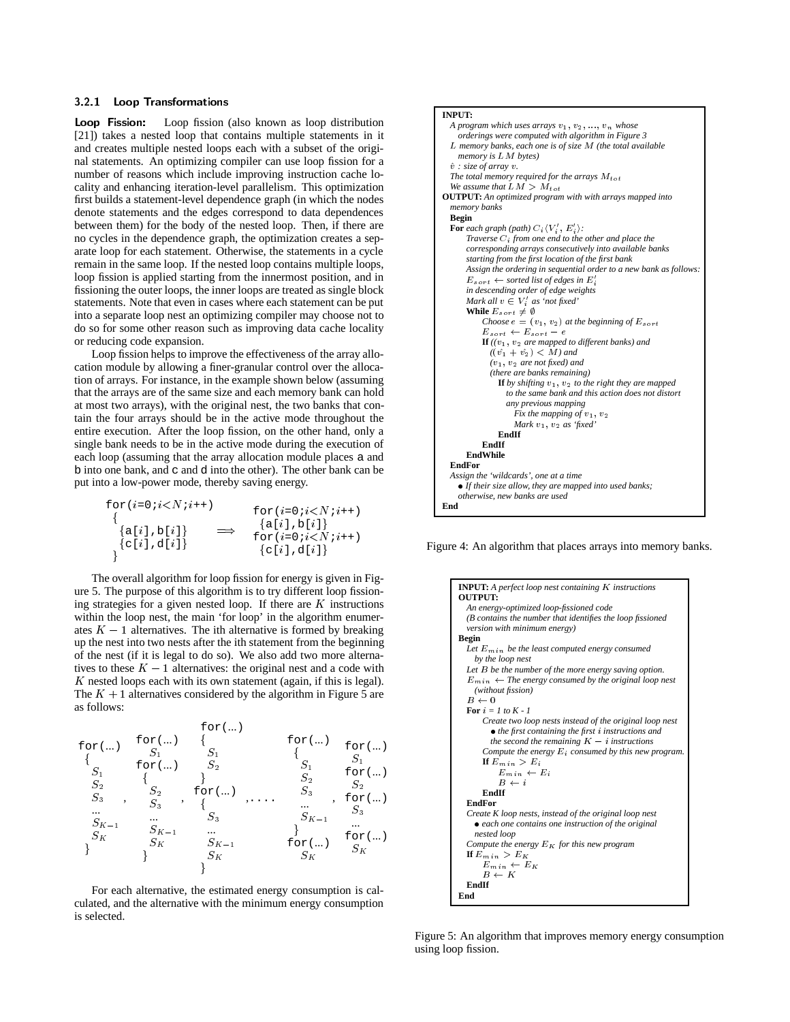#### 3.2.1 Loop Transformations

Loop Fission: Loop fission (also known as loop distribution [21]) takes a nested loop that contains multiple statements in it and creates multiple nested loops each with a subset of the original statements. An optimizing compiler can use loop fission for a number of reasons which include improving instruction cache locality and enhancing iteration-level parallelism. This optimization first builds a statement-level dependence graph (in which the nodes denote statements and the edges correspond to data dependences between them) for the body of the nested loop. Then, if there are no cycles in the dependence graph, the optimization creates a separate loop for each statement. Otherwise, the statements in a cycle remain in the same loop. If the nested loop contains multiple loops, loop fission is applied starting from the innermost position, and in fissioning the outer loops, the inner loops are treated as single block statements. Note that even in cases where each statement can be put into a separate loop nest an optimizing compiler may choose not to do so for some other reason such as improving data cache locality or reducing code expansion.

Loop fission helps to improve the effectiveness of the array allocation module by allowing a finer-granular control over the allocation of arrays. For instance, in the example shown below (assuming that the arrays are of the same size and each memory bank can hold at most two arrays), with the original nest, the two banks that contain the four arrays should be in the active mode throughout the entire execution. After the loop fission, on the other hand, only a single bank needs to be in the active mode during the execution of each loop (assuming that the array allocation module places a and b into one bank, and c and d into the other). The other bank can be put into a low-power mode, thereby saving energy.

> for( $i=0$ ; $i < N$ ; $i++$ ) f  ${a[i],b[i]}$  $\{c[i], d[i]\}$ {a[i],b[i]}  $\Rightarrow$  for (i=0;i<N;i++)<br>{c[i],d[i]} {c[i],d[i]} for $(i=0; i < N; i++)$  ${a[i],b[i]}$  $\{c[i], d[i]\}$

The overall algorithm for loop fission for energy is given in Figure 5. The purpose of this algorithm is to try different loop fissioning strategies for a given nested loop. If there are  $K$  instructions within the loop nest, the main 'for loop' in the algorithm enumerates  $K - 1$  alternatives. The ith alternative is formed by breaking up the nest into two nests after the ith statement from the beginning of the nest (if it is legal to do so). We also add two more alternatives to these  $K - 1$  alternatives: the original nest and a code with <sup>K</sup> nested loops each with its own statement (again, if this is legal). The  $K + 1$  alternatives considered by the algorithm in Figure 5 are as follows:

for(*...*) f S1 S2 S3 *...* SK1 SK g , for(*...*) S1 for(*...*) f S2 S3 *...* SK1 SK g , for(*...*) f S1 S2 g for(*...*) f S3 *...* SK1 SK g ,.... for(*...*) f S1 S2 S3 *...* SK1 g for(*...*) SK , for(*...*) S1 for(*...*) S2 for(*...*) S3 *...* for(*...*) SK

For each alternative, the estimated energy consumption is calculated, and the alternative with the minimum energy consumption is selected.

# **INPUT:**

```
A program which uses arrays v_1, v_2, ..., v_n whose
    orderings were computed with algorithm in Figure 3
  L memory banks, each one is of size M (the total available
    memory is LM bytes) v^ : size of array v.
  The total memory required for the arrays M_{tot}We assume that LM > M_{tot}OUTPUT: An optimized program with with arrays mapped into
 memory banks
  Begin
  For each graph (path) C_i \langle V'_i, E'_i \rangle:
      Traverse C_i from one end to the other and place the
      corresponding arrays consecutively into available banks
      starting from the first location of the first bank
      Assign the ordering in sequential order to a new bank as follows:
      E_{sort} \leftarrow sorted list of edges in E'.
      in descending order of edge weights
       Mark all v \in V_i' as 'not fixed'
      While E_{sort} \neq \emptysetChoose e = (v_1, v_2) at the beginning of E_{sort}E_{sort} \leftarrow E_{sort} - e  e
If ((v1 ; v2 are mapped to different banks) and
             (( \hat{v_1} + \hat{v_2}) \le M) and
             (v_1, v_2 are not fixed) and
             (there are banks remaining)
               If by shifting v1; v2 to the right they are mapped
                  to the same bank and this action does not distort
                  any previous mapping
                    Fix the mapping of v_1, v_2Mark v1; v2 as 'fixed'
               EndIf
           EndIf
      EndWhile
 EndFor
 Assign the 'wildcards', one at a time  If their size allow, they are mapped into used banks;
    otherwise, new banks are used
End
```
Figure 4: An algorithm that places arrays into memory banks.



Figure 5: An algorithm that improves memory energy consumption using loop fission.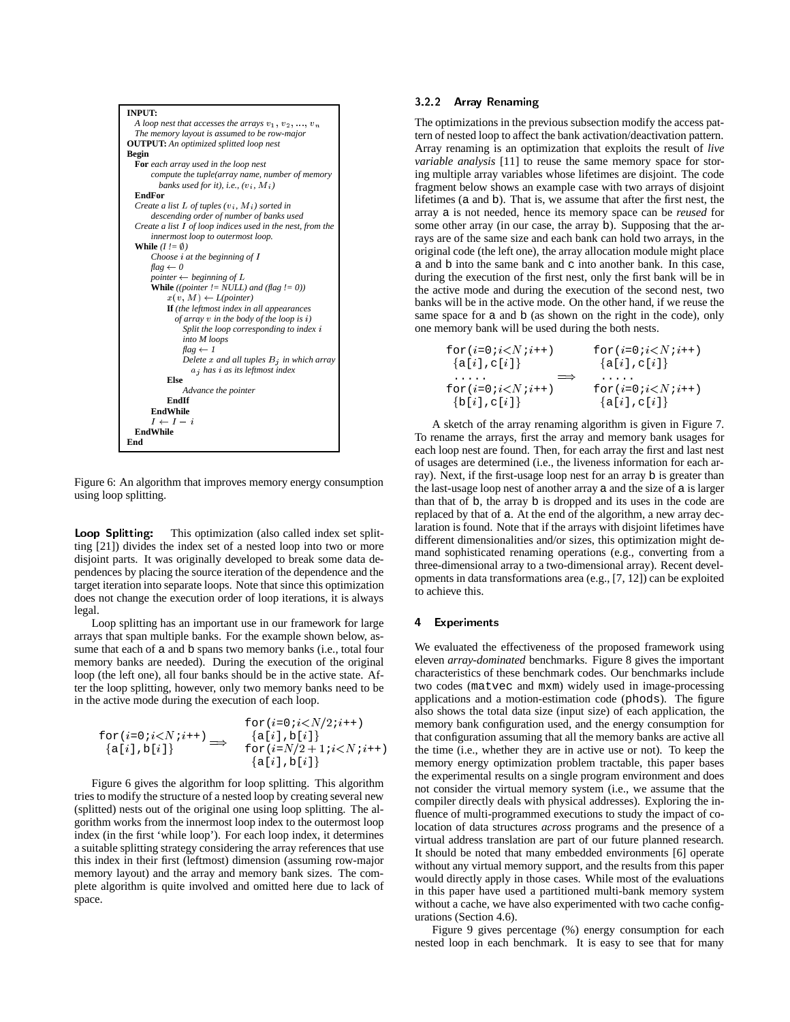

Figure 6: An algorithm that improves memory energy consumption using loop splitting.

Loop Splitting: This optimization (also called index set splitting [21]) divides the index set of a nested loop into two or more disjoint parts. It was originally developed to break some data dependences by placing the source iteration of the dependence and the target iteration into separate loops. Note that since this optimization does not change the execution order of loop iterations, it is always legal.

Loop splitting has an important use in our framework for large arrays that span multiple banks. For the example shown below, assume that each of a and b spans two memory banks (i.e., total four memory banks are needed). During the execution of the original loop (the left one), all four banks should be in the active state. After the loop splitting, however, only two memory banks need to be in the active mode during the execution of each loop.

 $\text{for}(i=0:i  $\longrightarrow$   $\{a[i],b[i]\}$   $\longrightarrow$   $\text{for}(i=N/2+$$ for( $i=0$ ; $i < N/2$ ; $i++$ )  ${a[i],b[i]}$ for  $(i=N/2+1;i$  $\{a[i],b[i]\}$ 

Figure 6 gives the algorithm for loop splitting. This algorithm tries to modify the structure of a nested loop by creating several new (splitted) nests out of the original one using loop splitting. The algorithm works from the innermost loop index to the outermost loop index (in the first 'while loop'). For each loop index, it determines a suitable splitting strategy considering the array references that use this index in their first (leftmost) dimension (assuming row-major memory layout) and the array and memory bank sizes. The complete algorithm is quite involved and omitted here due to lack of space.

### 3.2.2 Array Renaming

The optimizations in the previous subsection modify the access pattern of nested loop to affect the bank activation/deactivation pattern. Array renaming is an optimization that exploits the result of *live variable analysis* [11] to reuse the same memory space for storing multiple array variables whose lifetimes are disjoint. The code fragment below shows an example case with two arrays of disjoint lifetimes (a and b). That is, we assume that after the first nest, the array a is not needed, hence its memory space can be *reused* for some other array (in our case, the array b). Supposing that the arrays are of the same size and each bank can hold two arrays, in the original code (the left one), the array allocation module might place a and b into the same bank and c into another bank. In this case, during the execution of the first nest, only the first bank will be in the active mode and during the execution of the second nest, two banks will be in the active mode. On the other hand, if we reuse the same space for a and b (as shown on the right in the code), only one memory bank will be used during the both nests.

| for $(i=0; i < N; i++)$        | $for(i=0; i < N; i++)$ |
|--------------------------------|------------------------|
| ${a[i], c[i]}$                 | ${a[i], c[i]}$         |
| $\Rightarrow$<br>.             | .                      |
| for( $i=0$ ; $i < N$ ; $i++$ ) | $for(i=0; i < N; i++)$ |
| $\{b[i], c[i]\}$               | ${a[i], c[i]}$         |

A sketch of the array renaming algorithm is given in Figure 7. To rename the arrays, first the array and memory bank usages for each loop nest are found. Then, for each array the first and last nest of usages are determined (i.e., the liveness information for each array). Next, if the first-usage loop nest for an array b is greater than the last-usage loop nest of another array a and the size of a is larger than that of b, the array b is dropped and its uses in the code are replaced by that of a. At the end of the algorithm, a new array declaration is found. Note that if the arrays with disjoint lifetimes have different dimensionalities and/or sizes, this optimization might demand sophisticated renaming operations (e.g., converting from a three-dimensional array to a two-dimensional array). Recent developments in data transformations area (e.g., [7, 12]) can be exploited to achieve this.

### **Experiments**

We evaluated the effectiveness of the proposed framework using eleven *array-dominated* benchmarks. Figure 8 gives the important characteristics of these benchmark codes. Our benchmarks include two codes (matvec and mxm) widely used in image-processing applications and a motion-estimation code (phods). The figure also shows the total data size (input size) of each application, the memory bank configuration used, and the energy consumption for that configuration assuming that all the memory banks are active all the time (i.e., whether they are in active use or not). To keep the memory energy optimization problem tractable, this paper bases the experimental results on a single program environment and does not consider the virtual memory system (i.e., we assume that the compiler directly deals with physical addresses). Exploring the influence of multi-programmed executions to study the impact of colocation of data structures *across* programs and the presence of a virtual address translation are part of our future planned research. It should be noted that many embedded environments [6] operate without any virtual memory support, and the results from this paper would directly apply in those cases. While most of the evaluations in this paper have used a partitioned multi-bank memory system without a cache, we have also experimented with two cache configurations (Section 4.6).

Figure 9 gives percentage (%) energy consumption for each nested loop in each benchmark. It is easy to see that for many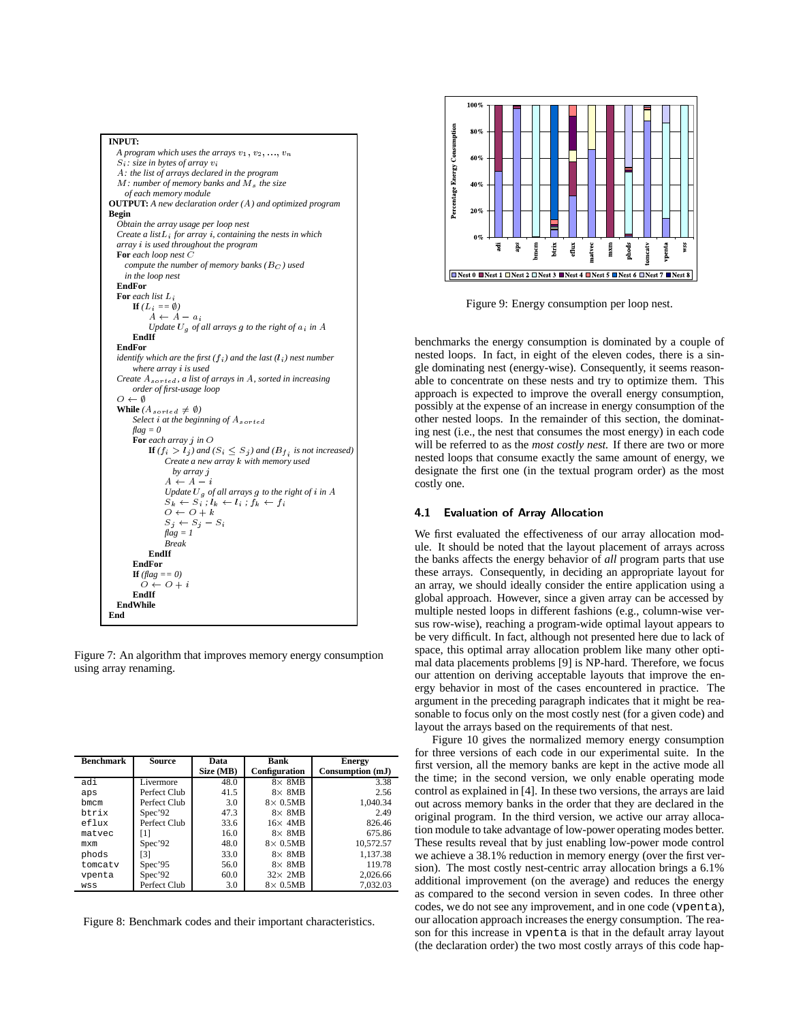



| <b>Benchmark</b> | <b>Source</b> | Data      | Bank                 | <b>Energy</b>    |  |
|------------------|---------------|-----------|----------------------|------------------|--|
|                  |               | Size (MB) | <b>Configuration</b> | Consumption (mJ) |  |
| adi              | Livermore     | 48.0      | $8\times 8MB$        | 3.38             |  |
| aps              | Perfect Club  | 41.5      | $8 \times 8MB$       | 2.56             |  |
| bmcm             | Perfect Club  | 3.0       | $8 \times 0.5MB$     | 1.040.34         |  |
| btrix            | Spec'92       | 47.3      | $8 \times 8MB$       | 2.49             |  |
| eflux            | Perfect Club  | 33.6      | $16 \times 4MB$      | 826.46           |  |
| matyec           | [1]           | 16.0      | $8 \times 8MB$       | 675.86           |  |
| mxm              | Spec'92       | 48.0      | $8 \times 0.5MB$     | 10,572.57        |  |
| phods            | [3]           | 33.0      | $8 \times 8MB$       | 1.137.38         |  |
| tomcatv          | Spec'95       | 56.0      | $8\times 8MB$        | 119.78           |  |
| vpenta           | Spec'92       | 60.0      | $32 \times 2MB$      | 2.026.66         |  |
| WSS              | Perfect Club  | 3.0       | $8 \times 0.5MB$     | 7,032.03         |  |

Figure 8: Benchmark codes and their important characteristics.



Figure 9: Energy consumption per loop nest.

benchmarks the energy consumption is dominated by a couple of nested loops. In fact, in eight of the eleven codes, there is a single dominating nest (energy-wise). Consequently, it seems reasonable to concentrate on these nests and try to optimize them. This approach is expected to improve the overall energy consumption, possibly at the expense of an increase in energy consumption of the other nested loops. In the remainder of this section, the dominating nest (i.e., the nest that consumes the most energy) in each code will be referred to as the *most costly nest.* If there are two or more nested loops that consume exactly the same amount of energy, we designate the first one (in the textual program order) as the most costly one.

### 4.1 Evaluation of Array Allocation

We first evaluated the effectiveness of our array allocation module. It should be noted that the layout placement of arrays across the banks affects the energy behavior of *all* program parts that use these arrays. Consequently, in deciding an appropriate layout for an array, we should ideally consider the entire application using a global approach. However, since a given array can be accessed by multiple nested loops in different fashions (e.g., column-wise versus row-wise), reaching a program-wide optimal layout appears to be very difficult. In fact, although not presented here due to lack of space, this optimal array allocation problem like many other optimal data placements problems [9] is NP-hard. Therefore, we focus our attention on deriving acceptable layouts that improve the energy behavior in most of the cases encountered in practice. The argument in the preceding paragraph indicates that it might be reasonable to focus only on the most costly nest (for a given code) and layout the arrays based on the requirements of that nest.

Figure 10 gives the normalized memory energy consumption for three versions of each code in our experimental suite. In the first version, all the memory banks are kept in the active mode all the time; in the second version, we only enable operating mode control as explained in [4]. In these two versions, the arrays are laid out across memory banks in the order that they are declared in the original program. In the third version, we active our array allocation module to take advantage of low-power operating modes better. These results reveal that by just enabling low-power mode control we achieve a 38.1% reduction in memory energy (over the first version). The most costly nest-centric array allocation brings a 6.1% additional improvement (on the average) and reduces the energy as compared to the second version in seven codes. In three other codes, we do not see any improvement, and in one code (vpenta), our allocation approach increases the energy consumption. The reason for this increase in vpenta is that in the default array layout (the declaration order) the two most costly arrays of this code hap-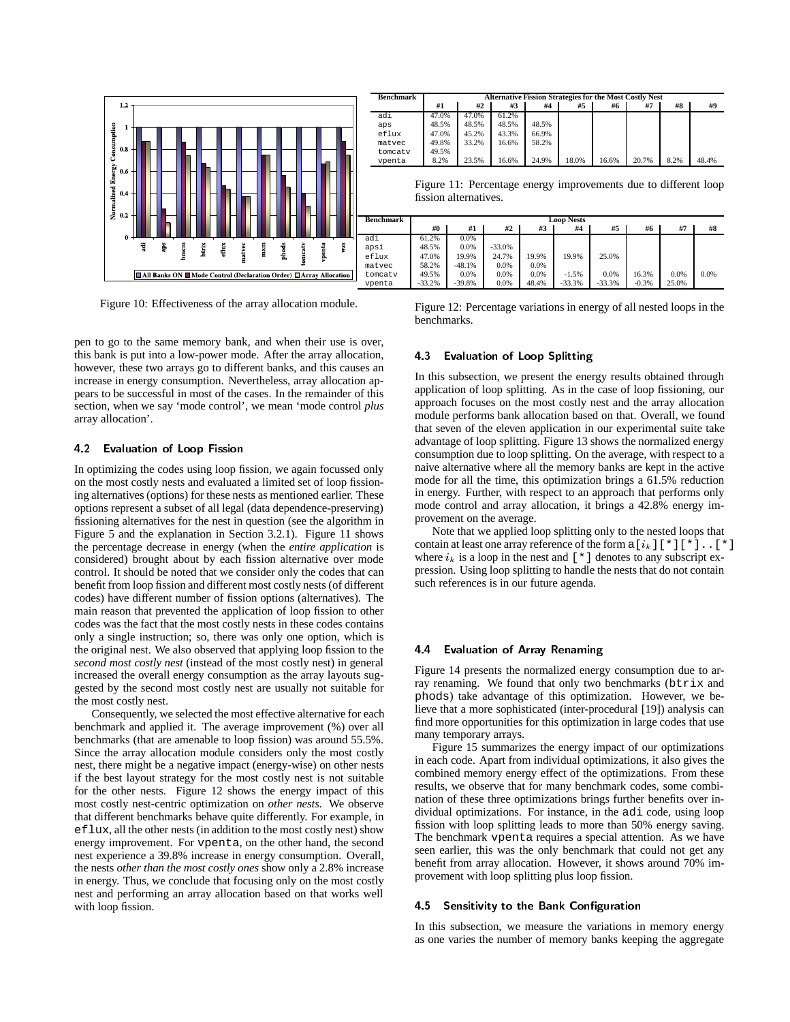

Figure 10: Effectiveness of the array allocation module.

pen to go to the same memory bank, and when their use is over, this bank is put into a low-power mode. After the array allocation, however, these two arrays go to different banks, and this causes an increase in energy consumption. Nevertheless, array allocation appears to be successful in most of the cases. In the remainder of this section, when we say 'mode control', we mean 'mode control *plus* array allocation'.

#### 4.2 Evaluation of Loop Fission

In optimizing the codes using loop fission, we again focussed only on the most costly nests and evaluated a limited set of loop fissioning alternatives (options) for these nests as mentioned earlier. These options represent a subset of all legal (data dependence-preserving) fissioning alternatives for the nest in question (see the algorithm in Figure 5 and the explanation in Section 3.2.1). Figure 11 shows the percentage decrease in energy (when the *entire application* is considered) brought about by each fission alternative over mode control. It should be noted that we consider only the codes that can benefit from loop fission and different most costly nests (of different codes) have different number of fission options (alternatives). The main reason that prevented the application of loop fission to other codes was the fact that the most costly nests in these codes contains only a single instruction; so, there was only one option, which is the original nest. We also observed that applying loop fission to the *second most costly nest* (instead of the most costly nest) in general increased the overall energy consumption as the array layouts suggested by the second most costly nest are usually not suitable for the most costly nest.

Consequently, we selected the most effective alternative for each benchmark and applied it. The average improvement (%) over all benchmarks (that are amenable to loop fission) was around 55.5%. Since the array allocation module considers only the most costly nest, there might be a negative impact (energy-wise) on other nests if the best layout strategy for the most costly nest is not suitable for the other nests. Figure 12 shows the energy impact of this most costly nest-centric optimization on *other nests.* We observe that different benchmarks behave quite differently. For example, in eflux, all the other nests (in addition to the most costly nest) show energy improvement. For vpenta, on the other hand, the second nest experience a 39.8% increase in energy consumption. Overall, the nests *other than the most costly ones* show only a 2.8% increase in energy. Thus, we conclude that focusing only on the most costly nest and performing an array allocation based on that works well with loop fission.

Figure 12: Percentage variations in energy of all nested loops in the benchmarks.

#### **Evaluation of Loop Splitting** 43

In this subsection, we present the energy results obtained through application of loop splitting. As in the case of loop fissioning, our approach focuses on the most costly nest and the array allocation module performs bank allocation based on that. Overall, we found that seven of the eleven application in our experimental suite take advantage of loop splitting. Figure 13 shows the normalized energy consumption due to loop splitting. On the average, with respect to a naive alternative where all the memory banks are kept in the active mode for all the time, this optimization brings a 61.5% reduction in energy. Further, with respect to an approach that performs only mode control and array allocation, it brings a 42.8% energy improvement on the average.

Note that we applied loop splitting only to the nested loops that contain at least one array reference of the form  $a[i_k]$ [\*][\*]..[\*] where  $i_k$  is a loop in the nest and [ $\star$ ] denotes to any subscript expression. Using loop splitting to handle the nests that do not contain such references is in our future agenda.

#### 4.4 Evaluation of Array Renaming

Figure 14 presents the normalized energy consumption due to array renaming. We found that only two benchmarks (btrix and phods) take advantage of this optimization. However, we believe that a more sophisticated (inter-procedural [19]) analysis can find more opportunities for this optimization in large codes that use many temporary arrays.

Figure 15 summarizes the energy impact of our optimizations in each code. Apart from individual optimizations, it also gives the combined memory energy effect of the optimizations. From these results, we observe that for many benchmark codes, some combination of these three optimizations brings further benefits over individual optimizations. For instance, in the adi code, using loop fission with loop splitting leads to more than 50% energy saving. The benchmark vpenta requires a special attention. As we have seen earlier, this was the only benchmark that could not get any benefit from array allocation. However, it shows around 70% improvement with loop splitting plus loop fission.

#### 4.5 Sensitivity to the Bank Configuration

In this subsection, we measure the variations in memory energy as one varies the number of memory banks keeping the aggregate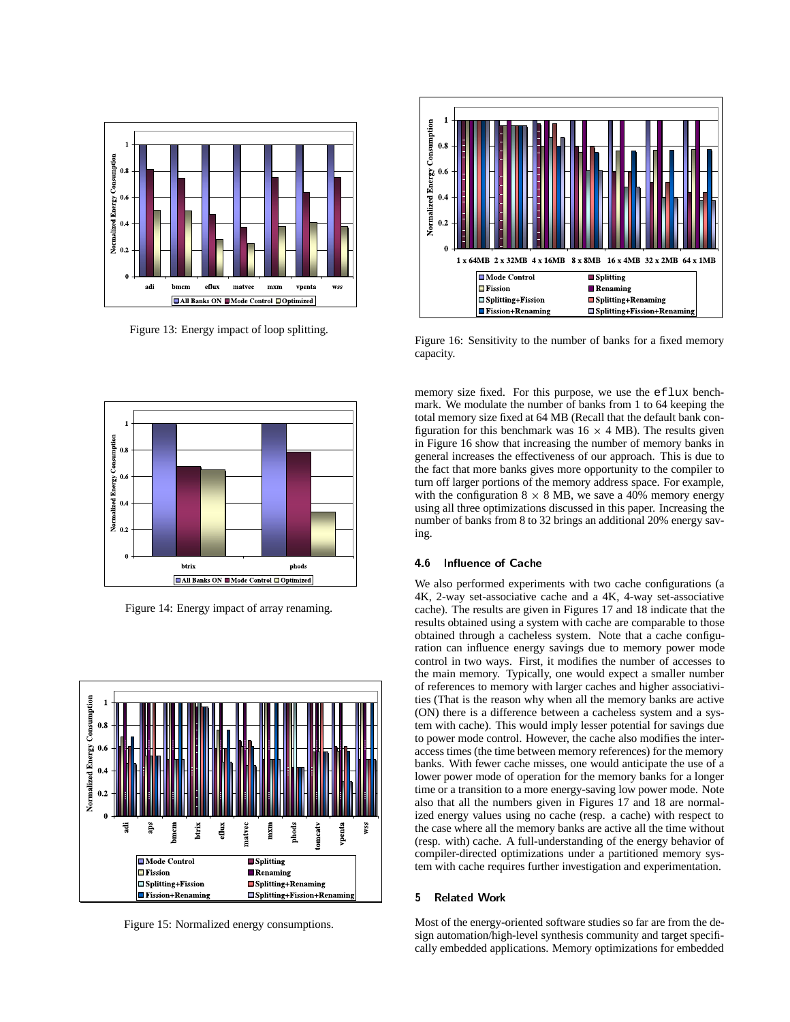

Figure 13: Energy impact of loop splitting.







Figure 15: Normalized energy consumptions.



Figure 16: Sensitivity to the number of banks for a fixed memory capacity.

memory size fixed. For this purpose, we use the eflux benchmark. We modulate the number of banks from 1 to 64 keeping the total memory size fixed at 64 MB (Recall that the default bank configuration for this benchmark was  $16 \times 4 \text{ MB}$ ). The results given in Figure 16 show that increasing the number of memory banks in general increases the effectiveness of our approach. This is due to the fact that more banks gives more opportunity to the compiler to turn off larger portions of the memory address space. For example, with the configuration  $8 \times 8$  MB, we save a 40% memory energy using all three optimizations discussed in this paper. Increasing the number of banks from 8 to 32 brings an additional 20% energy saving.

## 4.6 Influence of Cache

We also performed experiments with two cache configurations (a 4K, 2-way set-associative cache and a 4K, 4-way set-associative cache). The results are given in Figures 17 and 18 indicate that the results obtained using a system with cache are comparable to those obtained through a cacheless system. Note that a cache configuration can influence energy savings due to memory power mode control in two ways. First, it modifies the number of accesses to the main memory. Typically, one would expect a smaller number of references to memory with larger caches and higher associativities (That is the reason why when all the memory banks are active (ON) there is a difference between a cacheless system and a system with cache). This would imply lesser potential for savings due to power mode control. However, the cache also modifies the interaccess times (the time between memory references) for the memory banks. With fewer cache misses, one would anticipate the use of a lower power mode of operation for the memory banks for a longer time or a transition to a more energy-saving low power mode. Note also that all the numbers given in Figures 17 and 18 are normalized energy values using no cache (resp. a cache) with respect to the case where all the memory banks are active all the time without (resp. with) cache. A full-understanding of the energy behavior of compiler-directed optimizations under a partitioned memory system with cache requires further investigation and experimentation.

Most of the energy-oriented software studies so far are from the design automation/high-level synthesis community and target specifically embedded applications. Memory optimizations for embedded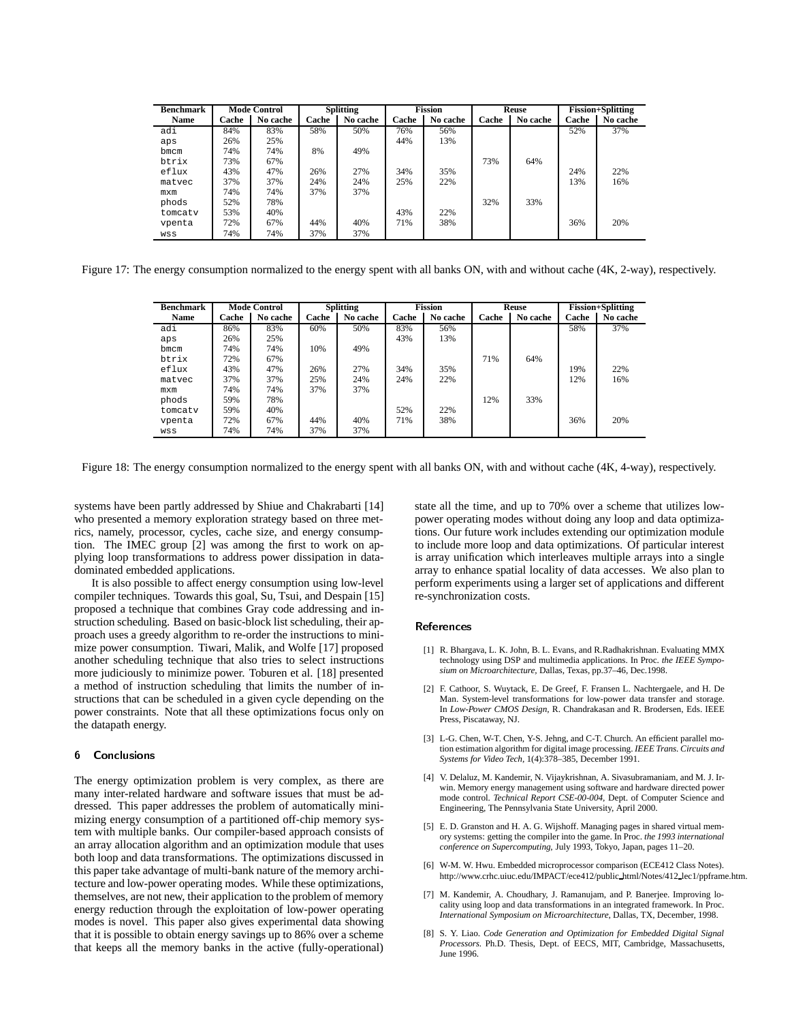| <b>Benchmark</b> | <b>Mode Control</b> |          | <b>Splitting</b> |          | <b>Fission</b> |          | <b>Reuse</b> |                 | <b>Fission+Splitting</b> |          |
|------------------|---------------------|----------|------------------|----------|----------------|----------|--------------|-----------------|--------------------------|----------|
| <b>Name</b>      | Cache               | No cache | Cache            | No cache | Cache          | No cache | Cache        | <b>No cache</b> | Cache                    | No cache |
| adi              | 84%                 | 83%      | 58%              | 50%      | 76%            | 56%      |              |                 | 52%                      | 37%      |
| aps              | 26%                 | 25%      |                  |          | 44%            | 13%      |              |                 |                          |          |
| bmcm             | 74%                 | 74%      | 8%               | 49%      |                |          |              |                 |                          |          |
| btrix            | 73%                 | 67%      |                  |          |                |          | 73%          | 64%             |                          |          |
| eflux            | 43%                 | 47%      | 26%              | 27%      | 34%            | 35%      |              |                 | 24%                      | 22%      |
| matvec           | 37%                 | 37%      | 24%              | 24%      | 25%            | 22%      |              |                 | 13%                      | 16%      |
| mxm              | 74%                 | 74%      | 37%              | 37%      |                |          |              |                 |                          |          |
| phods            | 52%                 | 78%      |                  |          |                |          | 32%          | 33%             |                          |          |
| tomcaty          | 53%                 | 40%      |                  |          | 43%            | 22%      |              |                 |                          |          |
| vpenta           | 72%                 | 67%      | 44%              | 40%      | 71%            | 38%      |              |                 | 36%                      | 20%      |
| WSS              | 74%                 | 74%      | 37%              | 37%      |                |          |              |                 |                          |          |

Figure 17: The energy consumption normalized to the energy spent with all banks ON, with and without cache (4K, 2-way), respectively.

| <b>Benchmark</b> | <b>Mode Control</b> |          | <b>Splitting</b> |          | <b>Fission</b> |          | <b>Reuse</b> |          | <b>Fission+Splitting</b> |          |
|------------------|---------------------|----------|------------------|----------|----------------|----------|--------------|----------|--------------------------|----------|
| <b>Name</b>      | Cache               | No cache | Cache            | No cache | Cache          | No cache | Cache        | No cache | Cache                    | No cache |
| adi              | 86%                 | 83%      | 60%              | 50%      | 83%            | 56%      |              |          | 58%                      | 37%      |
| aps              | 26%                 | 25%      |                  |          | 43%            | 13%      |              |          |                          |          |
| bmcm             | 74%                 | 74%      | 10%              | 49%      |                |          |              |          |                          |          |
| btrix            | 72%                 | 67%      |                  |          |                |          | 71%          | 64%      |                          |          |
| eflux            | 43%                 | 47%      | 26%              | 27%      | 34%            | 35%      |              |          | 19%                      | 22%      |
| matvec           | 37%                 | 37%      | 25%              | 24%      | 24%            | 22%      |              |          | 12%                      | 16%      |
| mxm              | 74%                 | 74%      | 37%              | 37%      |                |          |              |          |                          |          |
| phods            | 59%                 | 78%      |                  |          |                |          | 12%          | 33%      |                          |          |
| tomcatv          | 59%                 | 40%      |                  |          | 52%            | 22%      |              |          |                          |          |
| vpenta           | 72%                 | 67%      | 44%              | 40%      | 71%            | 38%      |              |          | 36%                      | 20%      |
| WSS              | 74%                 | 74%      | 37%              | 37%      |                |          |              |          |                          |          |

Figure 18: The energy consumption normalized to the energy spent with all banks ON, with and without cache (4K, 4-way), respectively.

systems have been partly addressed by Shiue and Chakrabarti [14] who presented a memory exploration strategy based on three metrics, namely, processor, cycles, cache size, and energy consumption. The IMEC group [2] was among the first to work on applying loop transformations to address power dissipation in datadominated embedded applications.

It is also possible to affect energy consumption using low-level compiler techniques. Towards this goal, Su, Tsui, and Despain [15] proposed a technique that combines Gray code addressing and instruction scheduling. Based on basic-block list scheduling, their approach uses a greedy algorithm to re-order the instructions to minimize power consumption. Tiwari, Malik, and Wolfe [17] proposed another scheduling technique that also tries to select instructions more judiciously to minimize power. Toburen et al. [18] presented a method of instruction scheduling that limits the number of instructions that can be scheduled in a given cycle depending on the power constraints. Note that all these optimizations focus only on the datapath energy.

## 6 Conclusions

The energy optimization problem is very complex, as there are many inter-related hardware and software issues that must be addressed. This paper addresses the problem of automatically minimizing energy consumption of a partitioned off-chip memory system with multiple banks. Our compiler-based approach consists of an array allocation algorithm and an optimization module that uses both loop and data transformations. The optimizations discussed in this paper take advantage of multi-bank nature of the memory architecture and low-power operating modes. While these optimizations, themselves, are not new, their application to the problem of memory energy reduction through the exploitation of low-power operating modes is novel. This paper also gives experimental data showing that it is possible to obtain energy savings up to 86% over a scheme that keeps all the memory banks in the active (fully-operational)

state all the time, and up to 70% over a scheme that utilizes lowpower operating modes without doing any loop and data optimizations. Our future work includes extending our optimization module to include more loop and data optimizations. Of particular interest is array unification which interleaves multiple arrays into a single array to enhance spatial locality of data accesses. We also plan to perform experiments using a larger set of applications and different re-synchronization costs.

#### References

- [1] R. Bhargava, L. K. John, B. L. Evans, and R.Radhakrishnan. Evaluating MMX technology using DSP and multimedia applications. In Proc. *the IEEE Symposium on Microarchitecture,* Dallas, Texas, pp.37–46, Dec.1998.
- [2] F. Cathoor, S. Wuytack, E. De Greef, F. Fransen L. Nachtergaele, and H. De Man. System-level transformations for low-power data transfer and storage. In *Low-Power CMOS Design,* R. Chandrakasan and R. Brodersen, Eds. IEEE Press, Piscataway, NJ.
- [3] L-G. Chen, W-T. Chen, Y-S. Jehng, and C-T. Church. An efficient parallel motion estimation algorithm for digital image processing. *IEEE Trans. Circuits and Systems for Video Tech,* 1(4):378–385, December 1991.
- [4] V. Delaluz, M. Kandemir, N. Vijaykrishnan, A. Sivasubramaniam, and M. J. Irwin. Memory energy management using software and hardware directed power mode control. *Technical Report CSE-00-004,* Dept. of Computer Science and Engineering, The Pennsylvania State University, April 2000.
- [5] E. D. Granston and H. A. G. Wijshoff. Managing pages in shared virtual memory systems: getting the compiler into the game. In Proc. *the 1993 international conference on Supercomputing,* July 1993, Tokyo, Japan, pages 11–20.
- [6] W-M. W. Hwu. Embedded microprocessor comparison (ECE412 Class Notes). http://www.crhc.uiuc.edu/IMPACT/ece412/public html/Notes/412 lec1/ppframe.htm.
- [7] M. Kandemir, A. Choudhary, J. Ramanujam, and P. Banerjee. Improving locality using loop and data transformations in an integrated framework. In Proc. *International Symposium on Microarchitecture,* Dallas, TX, December, 1998.
- [8] S. Y. Liao. *Code Generation and Optimization for Embedded Digital Signal Processors.* Ph.D. Thesis, Dept. of EECS, MIT, Cambridge, Massachusetts, June 1996.